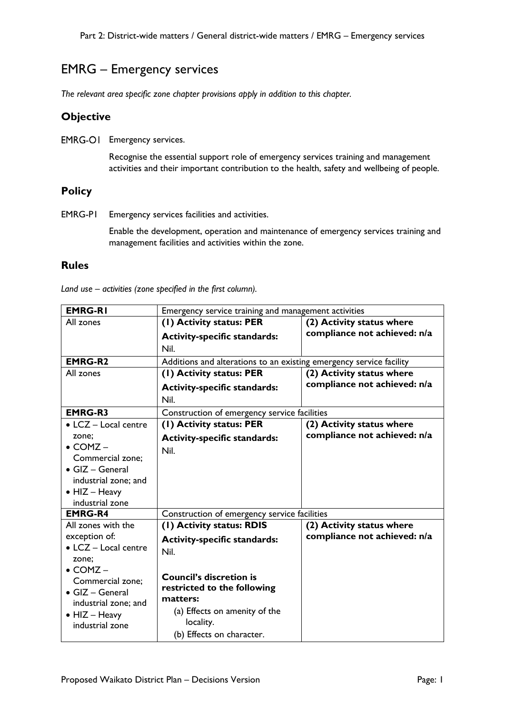## EMRG – Emergency services

*The relevant area specific zone chapter provisions apply in addition to this chapter.*

## **Objective**

EMRG-OI Emergency services.

Recognise the essential support role of emergency services training and management activities and their important contribution to the health, safety and wellbeing of people.

## **Policy**

EMRG-P1 Emergency services facilities and activities.

Enable the development, operation and maintenance of emergency services training and management facilities and activities within the zone.

## **Rules**

| <b>EMRG-RI</b>                           | Emergency service training and management activities                |                              |
|------------------------------------------|---------------------------------------------------------------------|------------------------------|
| All zones                                | (1) Activity status: PER                                            | (2) Activity status where    |
|                                          | <b>Activity-specific standards:</b>                                 | compliance not achieved: n/a |
|                                          | Nil.                                                                |                              |
| <b>EMRG-R2</b>                           | Additions and alterations to an existing emergency service facility |                              |
| All zones                                | (1) Activity status: PER                                            | (2) Activity status where    |
|                                          | <b>Activity-specific standards:</b>                                 | compliance not achieved: n/a |
|                                          | Nil.                                                                |                              |
| <b>EMRG-R3</b>                           | Construction of emergency service facilities                        |                              |
| $\bullet$ LCZ - Local centre             | (1) Activity status: PER                                            | (2) Activity status where    |
| zone;                                    | <b>Activity-specific standards:</b>                                 | compliance not achieved: n/a |
| $\bullet$ COMZ -                         | Nil.                                                                |                              |
| Commercial zone;                         |                                                                     |                              |
| $\bullet$ GIZ - General                  |                                                                     |                              |
| industrial zone; and                     |                                                                     |                              |
| $\bullet$ HIZ - Heavy                    |                                                                     |                              |
| industrial zone                          |                                                                     |                              |
| <b>EMRG-R4</b>                           | Construction of emergency service facilities                        |                              |
| All zones with the                       | (1) Activity status: RDIS                                           | (2) Activity status where    |
| exception of:                            | <b>Activity-specific standards:</b>                                 | compliance not achieved: n/a |
| • LCZ - Local centre                     | Nil.                                                                |                              |
| zone;                                    |                                                                     |                              |
| $\bullet$ COMZ –                         | <b>Council's discretion is</b>                                      |                              |
| Commercial zone;                         | restricted to the following                                         |                              |
| $\bullet$ GIZ - General                  | matters:                                                            |                              |
| industrial zone; and                     | (a) Effects on amenity of the                                       |                              |
| $\bullet$ HIZ - Heavy<br>industrial zone | locality.                                                           |                              |
|                                          | (b) Effects on character.                                           |                              |

*Land use – activities (zone specified in the first column).*